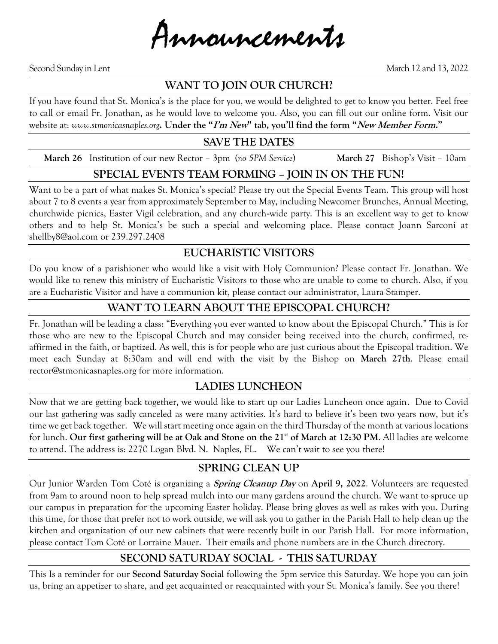Announcements

Second Sunday in Lent March 12 and 13, 2022

#### **WANT TO JOIN OUR CHURCH?**

If you have found that St. Monica's is the place for you, we would be delighted to get to know you better. Feel free to call or email Fr. Jonathan, as he would love to welcome you. Also, you can fill out our online form. Visit our website at: *www.stmonicasnaples.org***. Under the "I'm New" tab, you'll find the form "New Member Form."**

#### **SAVE THE DATES**

 **March 26** Institution of our new Rector – 3pm (*no 5PM Service*) **March 27** Bishop's Visit – 10am

#### **SPECIAL EVENTS TEAM FORMING – JOIN IN ON THE FUN!**

Want to be a part of what makes St. Monica's special? Please try out the Special Events Team. This group will host about 7 to 8 events a year from approximately September to May, including Newcomer Brunches, Annual Meeting, churchwide picnics, Easter Vigil celebration, and any church-wide party. This is an excellent way to get to know others and to help St. Monica's be such a special and welcoming place. Please contact Joann Sarconi at shellby8@aol.com or 239.297.2408

## **EUCHARISTIC VISITORS**

Do you know of a parishioner who would like a visit with Holy Communion? Please contact Fr. Jonathan. We would like to renew this ministry of Eucharistic Visitors to those who are unable to come to church. Also, if you are a Eucharistic Visitor and have a communion kit, please contact our administrator, Laura Stamper.

## **WANT TO LEARN ABOUT THE EPISCOPAL CHURCH?**

Fr. Jonathan will be leading a class: "Everything you ever wanted to know about the Episcopal Church." This is for those who are new to the Episcopal Church and may consider being received into the church, confirmed, reaffirmed in the faith, or baptized. As well, this is for people who are just curious about the Episcopal tradition. We meet each Sunday at 8:30am and will end with the visit by the Bishop on **March 27th**. Please email rector@stmonicasnaples.org for more information.

## **LADIES LUNCHEON**

Now that we are getting back together, we would like to start up our Ladies Luncheon once again. Due to Covid our last gathering was sadly canceled as were many activities. It's hard to believe it's been two years now, but it's time we get back together. We will start meeting once again on the third Thursday of the month at various locations for lunch. **Our first gathering will be at Oak and Stone on the 21st of March at 12:30 PM**. All ladies are welcome to attend. The address is: 2270 Logan Blvd. N. Naples, FL. We can't wait to see you there!

#### **SPRING CLEAN UP**

Our Junior Warden Tom Coté is organizing a **Spring Cleanup Day** on **April 9, 2022**. Volunteers are requested from 9am to around noon to help spread mulch into our many gardens around the church. We want to spruce up our campus in preparation for the upcoming Easter holiday. Please bring gloves as well as rakes with you. During this time, for those that prefer not to work outside, we will ask you to gather in the Parish Hall to help clean up the kitchen and organization of our new cabinets that were recently built in our Parish Hall. For more information, please contact Tom Coté or Lorraine Mauer. Their emails and phone numbers are in the Church directory.

# **SECOND SATURDAY SOCIAL - THIS SATURDAY**

This Is a reminder for our **Second Saturday Social** following the 5pm service this Saturday. We hope you can join us, bring an appetizer to share, and get acquainted or reacquainted with your St. Monica's family. See you there!